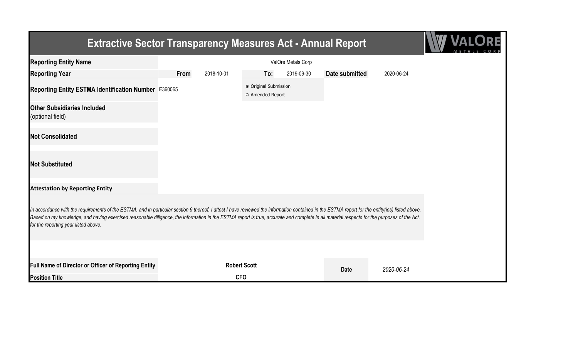## **Extractive Sector Transparency Measures Act - Annual Report**



| <b>Reporting Entity Name</b>                                                                                                                                                                                                                                                                                                                                                                                                          |      |            |                                           | ValOre Metals Corp |                |            |
|---------------------------------------------------------------------------------------------------------------------------------------------------------------------------------------------------------------------------------------------------------------------------------------------------------------------------------------------------------------------------------------------------------------------------------------|------|------------|-------------------------------------------|--------------------|----------------|------------|
| <b>Reporting Year</b>                                                                                                                                                                                                                                                                                                                                                                                                                 | From | 2018-10-01 | To:                                       | 2019-09-30         | Date submitted | 2020-06-24 |
| Reporting Entity ESTMA Identification Number E360065                                                                                                                                                                                                                                                                                                                                                                                  |      |            | ● Original Submission<br>O Amended Report |                    |                |            |
| <b>Other Subsidiaries Included</b><br>(optional field)                                                                                                                                                                                                                                                                                                                                                                                |      |            |                                           |                    |                |            |
| <b>Not Consolidated</b>                                                                                                                                                                                                                                                                                                                                                                                                               |      |            |                                           |                    |                |            |
| <b>Not Substituted</b>                                                                                                                                                                                                                                                                                                                                                                                                                |      |            |                                           |                    |                |            |
| <b>Attestation by Reporting Entity</b>                                                                                                                                                                                                                                                                                                                                                                                                |      |            |                                           |                    |                |            |
| In accordance with the requirements of the ESTMA, and in particular section 9 thereof, I attest I have reviewed the information contained in the ESTMA report for the entity(ies) listed above.<br>Based on my knowledge, and having exercised reasonable diligence, the information in the ESTMA report is true, accurate and complete in all material respects for the purposes of the Act,<br>for the reporting year listed above. |      |            |                                           |                    |                |            |
|                                                                                                                                                                                                                                                                                                                                                                                                                                       |      |            |                                           |                    |                |            |
| Full Name of Director or Officer of Reporting Entity                                                                                                                                                                                                                                                                                                                                                                                  |      |            | <b>Robert Scott</b>                       |                    | <b>Date</b>    | 2020-06-24 |
| <b>Position Title</b>                                                                                                                                                                                                                                                                                                                                                                                                                 |      |            | <b>CFO</b>                                |                    |                |            |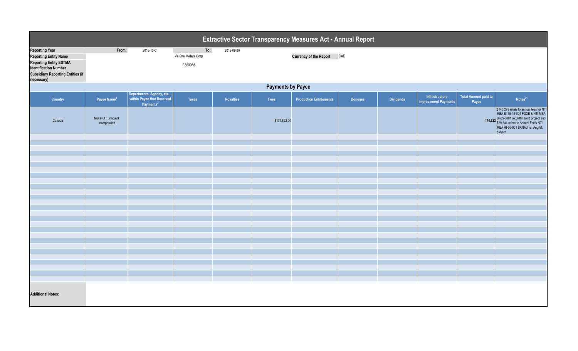| Extractive Sector Transparency Measures Act - Annual Report                                                                                                                      |                                   |                                                                                 |                                      |            |              |                                |                |                  |                                               |                                      |                                                                                                                                                                                                                   |  |  |
|----------------------------------------------------------------------------------------------------------------------------------------------------------------------------------|-----------------------------------|---------------------------------------------------------------------------------|--------------------------------------|------------|--------------|--------------------------------|----------------|------------------|-----------------------------------------------|--------------------------------------|-------------------------------------------------------------------------------------------------------------------------------------------------------------------------------------------------------------------|--|--|
| <b>Reporting Year</b><br><b>Reporting Entity Name</b><br><b>Reporting Entity ESTMA</b><br><b>Identification Number</b><br><b>Subsidiary Reporting Entities (if</b><br>necessary) | From:                             | 2018-10-01                                                                      | To:<br>ValOre Metals Corp<br>E360065 | 2019-09-30 |              | <b>Currency of the Report</b>  | CAD            |                  |                                               |                                      |                                                                                                                                                                                                                   |  |  |
|                                                                                                                                                                                  | <b>Payments by Payee</b>          |                                                                                 |                                      |            |              |                                |                |                  |                                               |                                      |                                                                                                                                                                                                                   |  |  |
| Country                                                                                                                                                                          | Payee Name <sup>1</sup>           | Departments, Agency, etc<br>within Payee that Received<br>Payments <sup>2</sup> | <b>Taxes</b>                         | Royalties  | Fees         | <b>Production Entitlements</b> | <b>Bonuses</b> | <b>Dividends</b> | Infrastructure<br><b>Improvement Payments</b> | <b>Total Amount paid to</b><br>Payee | Notes <sup>34</sup>                                                                                                                                                                                               |  |  |
| Canada                                                                                                                                                                           | Nunavut Tunngavik<br>Incorporated |                                                                                 |                                      |            | \$174,822.00 |                                |                |                  |                                               |                                      | \$145,278 relate to annual fees for NTI<br>MEA BI-35-16-001 FOXE & NTI MEA<br>174,822 BI-35-0001 re:Baffin Gold project and<br>\$29,544 relate to Annual Fee's NTI<br>MEA RI-30-001 SANAJI re: Angilak<br>project |  |  |
|                                                                                                                                                                                  |                                   |                                                                                 |                                      |            |              |                                |                |                  |                                               |                                      |                                                                                                                                                                                                                   |  |  |
|                                                                                                                                                                                  |                                   |                                                                                 |                                      |            |              |                                |                |                  |                                               |                                      |                                                                                                                                                                                                                   |  |  |
|                                                                                                                                                                                  |                                   |                                                                                 |                                      |            |              |                                |                |                  |                                               |                                      |                                                                                                                                                                                                                   |  |  |
|                                                                                                                                                                                  |                                   |                                                                                 |                                      |            |              |                                |                |                  |                                               |                                      |                                                                                                                                                                                                                   |  |  |
|                                                                                                                                                                                  |                                   |                                                                                 |                                      |            |              |                                |                |                  |                                               |                                      |                                                                                                                                                                                                                   |  |  |
|                                                                                                                                                                                  |                                   |                                                                                 |                                      |            |              |                                |                |                  |                                               |                                      |                                                                                                                                                                                                                   |  |  |
|                                                                                                                                                                                  |                                   |                                                                                 |                                      |            |              |                                |                |                  |                                               |                                      |                                                                                                                                                                                                                   |  |  |
|                                                                                                                                                                                  |                                   |                                                                                 |                                      |            |              |                                |                |                  |                                               |                                      |                                                                                                                                                                                                                   |  |  |
|                                                                                                                                                                                  |                                   |                                                                                 |                                      |            |              |                                |                |                  |                                               |                                      |                                                                                                                                                                                                                   |  |  |
|                                                                                                                                                                                  |                                   |                                                                                 |                                      |            |              |                                |                |                  |                                               |                                      |                                                                                                                                                                                                                   |  |  |
|                                                                                                                                                                                  |                                   |                                                                                 |                                      |            |              |                                |                |                  |                                               |                                      |                                                                                                                                                                                                                   |  |  |
|                                                                                                                                                                                  |                                   |                                                                                 |                                      |            |              |                                |                |                  |                                               |                                      |                                                                                                                                                                                                                   |  |  |
|                                                                                                                                                                                  |                                   |                                                                                 |                                      |            |              |                                |                |                  |                                               |                                      |                                                                                                                                                                                                                   |  |  |
|                                                                                                                                                                                  |                                   |                                                                                 |                                      |            |              |                                |                |                  |                                               |                                      |                                                                                                                                                                                                                   |  |  |
|                                                                                                                                                                                  |                                   |                                                                                 |                                      |            |              |                                |                |                  |                                               |                                      |                                                                                                                                                                                                                   |  |  |
|                                                                                                                                                                                  |                                   |                                                                                 |                                      |            |              |                                |                |                  |                                               |                                      |                                                                                                                                                                                                                   |  |  |
|                                                                                                                                                                                  |                                   |                                                                                 |                                      |            |              |                                |                |                  |                                               |                                      |                                                                                                                                                                                                                   |  |  |
|                                                                                                                                                                                  |                                   |                                                                                 |                                      |            |              |                                |                |                  |                                               |                                      |                                                                                                                                                                                                                   |  |  |
|                                                                                                                                                                                  |                                   |                                                                                 |                                      |            |              |                                |                |                  |                                               |                                      |                                                                                                                                                                                                                   |  |  |
| <b>Additional Notes:</b>                                                                                                                                                         |                                   |                                                                                 |                                      |            |              |                                |                |                  |                                               |                                      |                                                                                                                                                                                                                   |  |  |